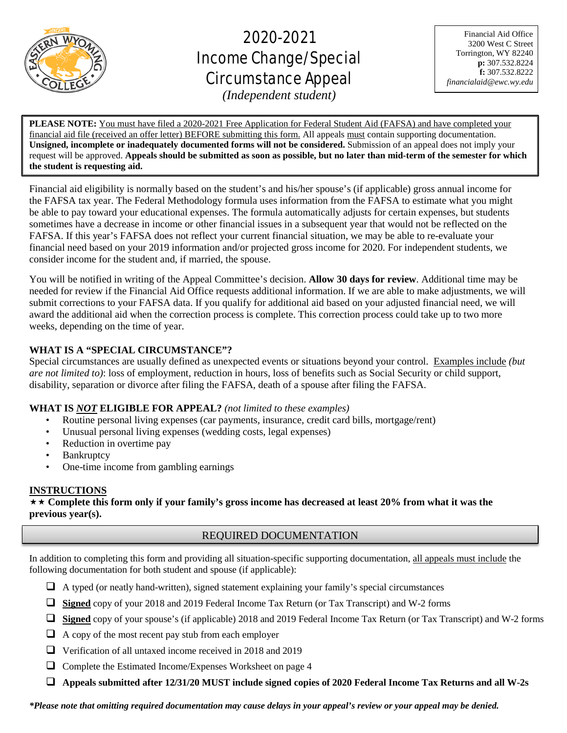

֦

# 2020-2021 Income Change/Special Circumstance Appeal

Financial Aid Office 3200 West C Street Torrington, WY 82240 **p:** 307.532.8224 **f:** 307.532.8222 *financialaid@ewc.wy.edu*

*(Independent student)*

**PLEASE NOTE:** You must have filed a 2020-2021 Free Application for Federal Student Aid (FAFSA) and have completed your financial aid file (received an offer letter) BEFORE submitting this form. All appeals must contain supporting documentation. **Unsigned, incomplete or inadequately documented forms will not be considered.** Submission of an appeal does not imply your request will be approved. **Appeals should be submitted as soon as possible, but no later than mid-term of the semester for which the student is requesting aid.**

Financial aid eligibility is normally based on the student's and his/her spouse's (if applicable) gross annual income for the FAFSA tax year. The Federal Methodology formula uses information from the FAFSA to estimate what you might be able to pay toward your educational expenses. The formula automatically adjusts for certain expenses, but students sometimes have a decrease in income or other financial issues in a subsequent year that would not be reflected on the FAFSA. If this year's FAFSA does not reflect your current financial situation, we may be able to re-evaluate your financial need based on your 2019 information and/or projected gross income for 2020. For independent students, we consider income for the student and, if married, the spouse.

You will be notified in writing of the Appeal Committee's decision. **Allow 30 days for review**. Additional time may be needed for review if the Financial Aid Office requests additional information. If we are able to make adjustments, we will submit corrections to your FAFSA data. If you qualify for additional aid based on your adjusted financial need, we will award the additional aid when the correction process is complete. This correction process could take up to two more weeks, depending on the time of year.

# **WHAT IS A "SPECIAL CIRCUMSTANCE"?**

Special circumstances are usually defined as unexpected events or situations beyond your control. Examples include *(but are not limited to)*: loss of employment, reduction in hours, loss of benefits such as Social Security or child support, disability, separation or divorce after filing the FAFSA, death of a spouse after filing the FAFSA.

# **WHAT IS** *NOT* **ELIGIBLE FOR APPEAL?** *(not limited to these examples)*

- Routine personal living expenses (car payments, insurance, credit card bills, mortgage/rent)
- Unusual personal living expenses (wedding costs, legal expenses)
- Reduction in overtime pay
- **Bankruptcy**
- One-time income from gambling earnings

# **INSTRUCTIONS**

 **Complete this form only if your family's gross income has decreased at least 20% from what it was the previous year(s).**

# REQUIRED DOCUMENTATION

In addition to completing this form and providing all situation-specific supporting documentation, all appeals must include the following documentation for both student and spouse (if applicable):

- $\Box$  A typed (or neatly hand-written), signed statement explaining your family's special circumstances
- **Signed** copy of your 2018 and 2019 Federal Income Tax Return (or Tax Transcript) and W-2 forms
- **Signed** copy of your spouse's (if applicable) 2018 and 2019 Federal Income Tax Return (or Tax Transcript) and W-2 forms
- $\Box$  A copy of the most recent pay stub from each employer
- Verification of all untaxed income received in 2018 and 2019
- $\Box$  Complete the Estimated Income/Expenses Worksheet on page 4
- **Appeals submitted after 12/31/20 MUST include signed copies of 2020 Federal Income Tax Returns and all W-2s**

*\*Please note that omitting required documentation may cause delays in your appeal's review or your appeal may be denied.*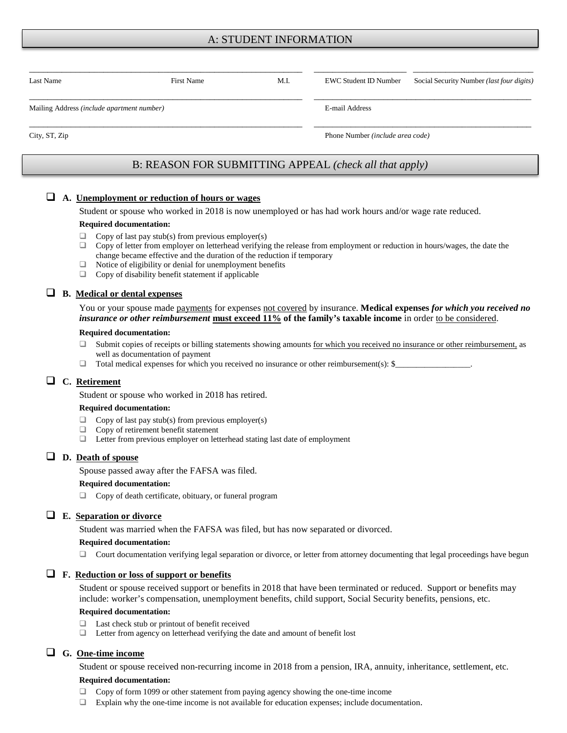# A: STUDENT INFORMATION

| Last Name                                  | First Name                                             | M.I. | <b>EWC Student ID Number</b>            | Social Security Number ( <i>last four digits</i> ) |
|--------------------------------------------|--------------------------------------------------------|------|-----------------------------------------|----------------------------------------------------|
| Mailing Address (include apartment number) |                                                        |      | E-mail Address                          |                                                    |
| City, ST, Zip                              |                                                        |      | Phone Number <i>(include area code)</i> |                                                    |
|                                            | B: REASON FOR SUBMITTING APPEAL (check all that apply) |      |                                         |                                                    |

## **A. Unemployment or reduction of hours or wages**

Student or spouse who worked in 2018 is now unemployed or has had work hours and/or wage rate reduced.

#### **Required documentation:**

- $\Box$  Copy of last pay stub(s) from previous employer(s)
- $\Box$  Copy of letter from employer on letterhead verifying the release from employment or reduction in hours/wages, the date the change became effective and the duration of the reduction if temporary
- $\Box$  Notice of eligibility or denial for unemployment benefits
- □ Copy of disability benefit statement if applicable

# **B. Medical or dental expenses**

You or your spouse made payments for expenses not covered by insurance. **Medical expenses** *for which you received no insurance or other reimbursement* **must exceed 11% of the family's taxable income** in order to be considered.

#### **Required documentation:**

- $\Box$  Submit copies of receipts or billing statements showing amounts for which you received no insurance or other reimbursement, as well as documentation of payment
- $\Box$  Total medical expenses for which you received no insurance or other reimbursement(s): \$

## **C. Retirement**

Student or spouse who worked in 2018 has retired.

#### **Required documentation:**

- $\Box$  Copy of last pay stub(s) from previous employer(s)
- $\Box$  Copy of retirement benefit statement
- $\Box$  Letter from previous employer on letterhead stating last date of employment

## **D. Death of spouse**

Spouse passed away after the FAFSA was filed.

#### **Required documentation:**

 $\Box$  Copy of death certificate, obituary, or funeral program

#### **E. Separation or divorce**

Student was married when the FAFSA was filed, but has now separated or divorced.

#### **Required documentation:**

 $\Box$  Court documentation verifying legal separation or divorce, or letter from attorney documenting that legal proceedings have begun

#### **F. Reduction or loss of support or benefits**

Student or spouse received support or benefits in 2018 that have been terminated or reduced. Support or benefits may include: worker's compensation, unemployment benefits, child support, Social Security benefits, pensions, etc.

#### **Required documentation:**

- $\Box$  Last check stub or printout of benefit received
- $\Box$  Letter from agency on letterhead verifying the date and amount of benefit lost

## **G. One-time income**

Student or spouse received non-recurring income in 2018 from a pension, IRA, annuity, inheritance, settlement, etc.

#### **Required documentation:**

- Copy of form 1099 or other statement from paying agency showing the one-time income
- Explain why the one-time income is not available for education expenses; include documentation.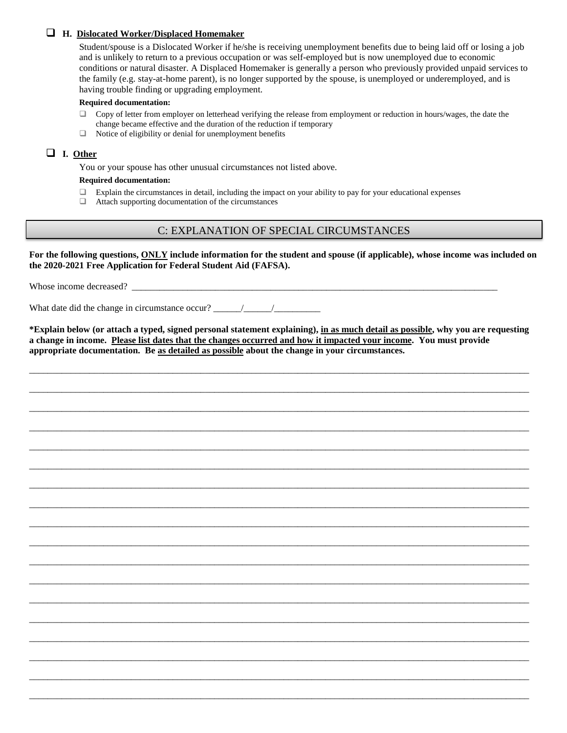## **H. Dislocated Worker/Displaced Homemaker**

Student/spouse is a Dislocated Worker if he/she is receiving unemployment benefits due to being laid off or losing a job and is unlikely to return to a previous occupation or was self-employed but is now unemployed due to economic conditions or natural disaster. A Displaced Homemaker is generally a person who previously provided unpaid services to the family (e.g. stay-at-home parent), is no longer supported by the spouse, is unemployed or underemployed, and is having trouble finding or upgrading employment.

#### **Required documentation:**

- $\Box$  Copy of letter from employer on letterhead verifying the release from employment or reduction in hours/wages, the date the change became effective and the duration of the reduction if temporary
- $\Box$  Notice of eligibility or denial for unemployment benefits

# **I. Other**

You or your spouse has other unusual circumstances not listed above.

### **Required documentation:**

- $\Box$  Explain the circumstances in detail, including the impact on your ability to pay for your educational expenses
- Attach supporting documentation of the circumstances

# C: EXPLANATION OF SPECIAL CIRCUMSTANCES

**For the following questions, ONLY include information for the student and spouse (if applicable), whose income was included on the 2020-2021 Free Application for Federal Student Aid (FAFSA).**

Whose income decreased?

What date did the change in circumstance occur?

**\*Explain below (or attach a typed, signed personal statement explaining), in as much detail as possible, why you are requesting a change in income. Please list dates that the changes occurred and how it impacted your income. You must provide appropriate documentation. Be as detailed as possible about the change in your circumstances.** 

\_\_\_\_\_\_\_\_\_\_\_\_\_\_\_\_\_\_\_\_\_\_\_\_\_\_\_\_\_\_\_\_\_\_\_\_\_\_\_\_\_\_\_\_\_\_\_\_\_\_\_\_\_\_\_\_\_\_\_\_\_\_\_\_\_\_\_\_\_\_\_\_\_\_\_\_\_\_\_\_\_\_\_\_\_\_\_\_\_\_\_\_\_\_\_\_\_\_\_\_\_\_\_\_\_\_\_\_

\_\_\_\_\_\_\_\_\_\_\_\_\_\_\_\_\_\_\_\_\_\_\_\_\_\_\_\_\_\_\_\_\_\_\_\_\_\_\_\_\_\_\_\_\_\_\_\_\_\_\_\_\_\_\_\_\_\_\_\_\_\_\_\_\_\_\_\_\_\_\_\_\_\_\_\_\_\_\_\_\_\_\_\_\_\_\_\_\_\_\_\_\_\_\_\_\_\_\_\_\_\_\_\_\_\_\_\_

\_\_\_\_\_\_\_\_\_\_\_\_\_\_\_\_\_\_\_\_\_\_\_\_\_\_\_\_\_\_\_\_\_\_\_\_\_\_\_\_\_\_\_\_\_\_\_\_\_\_\_\_\_\_\_\_\_\_\_\_\_\_\_\_\_\_\_\_\_\_\_\_\_\_\_\_\_\_\_\_\_\_\_\_\_\_\_\_\_\_\_\_\_\_\_\_\_\_\_\_\_\_\_\_\_\_\_\_

\_\_\_\_\_\_\_\_\_\_\_\_\_\_\_\_\_\_\_\_\_\_\_\_\_\_\_\_\_\_\_\_\_\_\_\_\_\_\_\_\_\_\_\_\_\_\_\_\_\_\_\_\_\_\_\_\_\_\_\_\_\_\_\_\_\_\_\_\_\_\_\_\_\_\_\_\_\_\_\_\_\_\_\_\_\_\_\_\_\_\_\_\_\_\_\_\_\_\_\_\_\_\_\_\_\_\_\_

\_\_\_\_\_\_\_\_\_\_\_\_\_\_\_\_\_\_\_\_\_\_\_\_\_\_\_\_\_\_\_\_\_\_\_\_\_\_\_\_\_\_\_\_\_\_\_\_\_\_\_\_\_\_\_\_\_\_\_\_\_\_\_\_\_\_\_\_\_\_\_\_\_\_\_\_\_\_\_\_\_\_\_\_\_\_\_\_\_\_\_\_\_\_\_\_\_\_\_\_\_\_\_\_\_\_\_\_

\_\_\_\_\_\_\_\_\_\_\_\_\_\_\_\_\_\_\_\_\_\_\_\_\_\_\_\_\_\_\_\_\_\_\_\_\_\_\_\_\_\_\_\_\_\_\_\_\_\_\_\_\_\_\_\_\_\_\_\_\_\_\_\_\_\_\_\_\_\_\_\_\_\_\_\_\_\_\_\_\_\_\_\_\_\_\_\_\_\_\_\_\_\_\_\_\_\_\_\_\_\_\_\_\_\_\_\_

\_\_\_\_\_\_\_\_\_\_\_\_\_\_\_\_\_\_\_\_\_\_\_\_\_\_\_\_\_\_\_\_\_\_\_\_\_\_\_\_\_\_\_\_\_\_\_\_\_\_\_\_\_\_\_\_\_\_\_\_\_\_\_\_\_\_\_\_\_\_\_\_\_\_\_\_\_\_\_\_\_\_\_\_\_\_\_\_\_\_\_\_\_\_\_\_\_\_\_\_\_\_\_\_\_\_\_\_

\_\_\_\_\_\_\_\_\_\_\_\_\_\_\_\_\_\_\_\_\_\_\_\_\_\_\_\_\_\_\_\_\_\_\_\_\_\_\_\_\_\_\_\_\_\_\_\_\_\_\_\_\_\_\_\_\_\_\_\_\_\_\_\_\_\_\_\_\_\_\_\_\_\_\_\_\_\_\_\_\_\_\_\_\_\_\_\_\_\_\_\_\_\_\_\_\_\_\_\_\_\_\_\_\_\_\_\_

\_\_\_\_\_\_\_\_\_\_\_\_\_\_\_\_\_\_\_\_\_\_\_\_\_\_\_\_\_\_\_\_\_\_\_\_\_\_\_\_\_\_\_\_\_\_\_\_\_\_\_\_\_\_\_\_\_\_\_\_\_\_\_\_\_\_\_\_\_\_\_\_\_\_\_\_\_\_\_\_\_\_\_\_\_\_\_\_\_\_\_\_\_\_\_\_\_\_\_\_\_\_\_\_\_\_\_\_

\_\_\_\_\_\_\_\_\_\_\_\_\_\_\_\_\_\_\_\_\_\_\_\_\_\_\_\_\_\_\_\_\_\_\_\_\_\_\_\_\_\_\_\_\_\_\_\_\_\_\_\_\_\_\_\_\_\_\_\_\_\_\_\_\_\_\_\_\_\_\_\_\_\_\_\_\_\_\_\_\_\_\_\_\_\_\_\_\_\_\_\_\_\_\_\_\_\_\_\_\_\_\_\_\_\_\_\_

\_\_\_\_\_\_\_\_\_\_\_\_\_\_\_\_\_\_\_\_\_\_\_\_\_\_\_\_\_\_\_\_\_\_\_\_\_\_\_\_\_\_\_\_\_\_\_\_\_\_\_\_\_\_\_\_\_\_\_\_\_\_\_\_\_\_\_\_\_\_\_\_\_\_\_\_\_\_\_\_\_\_\_\_\_\_\_\_\_\_\_\_\_\_\_\_\_\_\_\_\_\_\_\_\_\_\_\_

\_\_\_\_\_\_\_\_\_\_\_\_\_\_\_\_\_\_\_\_\_\_\_\_\_\_\_\_\_\_\_\_\_\_\_\_\_\_\_\_\_\_\_\_\_\_\_\_\_\_\_\_\_\_\_\_\_\_\_\_\_\_\_\_\_\_\_\_\_\_\_\_\_\_\_\_\_\_\_\_\_\_\_\_\_\_\_\_\_\_\_\_\_\_\_\_\_\_\_\_\_\_\_\_\_\_\_\_

\_\_\_\_\_\_\_\_\_\_\_\_\_\_\_\_\_\_\_\_\_\_\_\_\_\_\_\_\_\_\_\_\_\_\_\_\_\_\_\_\_\_\_\_\_\_\_\_\_\_\_\_\_\_\_\_\_\_\_\_\_\_\_\_\_\_\_\_\_\_\_\_\_\_\_\_\_\_\_\_\_\_\_\_\_\_\_\_\_\_\_\_\_\_\_\_\_\_\_\_\_\_\_\_\_\_\_\_

\_\_\_\_\_\_\_\_\_\_\_\_\_\_\_\_\_\_\_\_\_\_\_\_\_\_\_\_\_\_\_\_\_\_\_\_\_\_\_\_\_\_\_\_\_\_\_\_\_\_\_\_\_\_\_\_\_\_\_\_\_\_\_\_\_\_\_\_\_\_\_\_\_\_\_\_\_\_\_\_\_\_\_\_\_\_\_\_\_\_\_\_\_\_\_\_\_\_\_\_\_\_\_\_\_\_\_\_

\_\_\_\_\_\_\_\_\_\_\_\_\_\_\_\_\_\_\_\_\_\_\_\_\_\_\_\_\_\_\_\_\_\_\_\_\_\_\_\_\_\_\_\_\_\_\_\_\_\_\_\_\_\_\_\_\_\_\_\_\_\_\_\_\_\_\_\_\_\_\_\_\_\_\_\_\_\_\_\_\_\_\_\_\_\_\_\_\_\_\_\_\_\_\_\_\_\_\_\_\_\_\_\_\_\_\_\_

\_\_\_\_\_\_\_\_\_\_\_\_\_\_\_\_\_\_\_\_\_\_\_\_\_\_\_\_\_\_\_\_\_\_\_\_\_\_\_\_\_\_\_\_\_\_\_\_\_\_\_\_\_\_\_\_\_\_\_\_\_\_\_\_\_\_\_\_\_\_\_\_\_\_\_\_\_\_\_\_\_\_\_\_\_\_\_\_\_\_\_\_\_\_\_\_\_\_\_\_\_\_\_\_\_\_\_\_

\_\_\_\_\_\_\_\_\_\_\_\_\_\_\_\_\_\_\_\_\_\_\_\_\_\_\_\_\_\_\_\_\_\_\_\_\_\_\_\_\_\_\_\_\_\_\_\_\_\_\_\_\_\_\_\_\_\_\_\_\_\_\_\_\_\_\_\_\_\_\_\_\_\_\_\_\_\_\_\_\_\_\_\_\_\_\_\_\_\_\_\_\_\_\_\_\_\_\_\_\_\_\_\_\_\_\_\_

\_\_\_\_\_\_\_\_\_\_\_\_\_\_\_\_\_\_\_\_\_\_\_\_\_\_\_\_\_\_\_\_\_\_\_\_\_\_\_\_\_\_\_\_\_\_\_\_\_\_\_\_\_\_\_\_\_\_\_\_\_\_\_\_\_\_\_\_\_\_\_\_\_\_\_\_\_\_\_\_\_\_\_\_\_\_\_\_\_\_\_\_\_\_\_\_\_\_\_\_\_\_\_\_\_\_\_\_